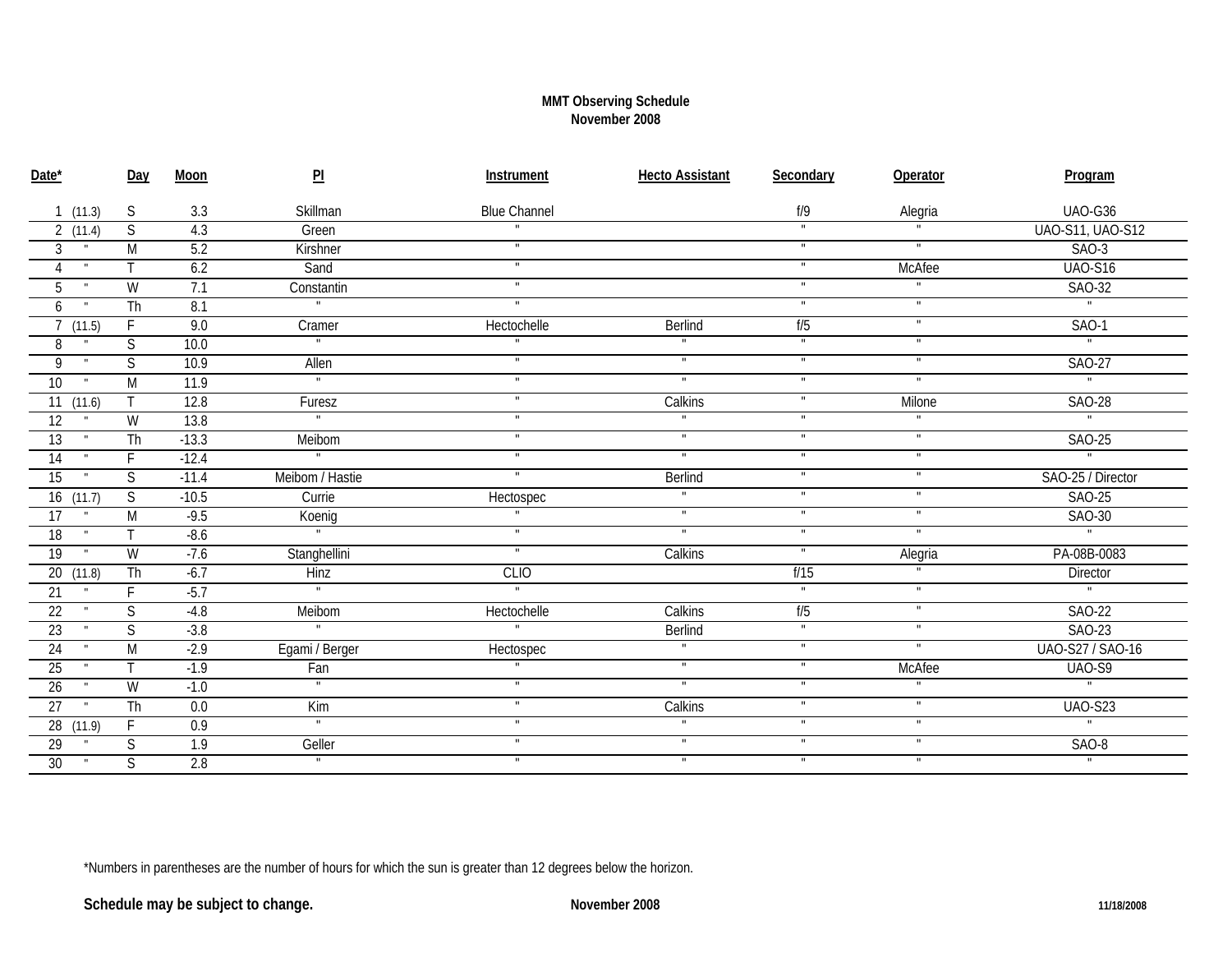## **MMT Observing Schedule November 2008**

| Date*                           | Day                     | Moon             | $\overline{\mathsf{PL}}$ | Instrument              | <b>Hecto Assistant</b>  | Secondary               | Operator       | Program                  |
|---------------------------------|-------------------------|------------------|--------------------------|-------------------------|-------------------------|-------------------------|----------------|--------------------------|
| 1(11.3)                         | S                       | 3.3              | Skillman                 | <b>Blue Channel</b>     |                         | $f/9$                   | Alegria        | UAO-G36                  |
| 2(11.4)                         | S                       | 4.3              | Green                    |                         |                         | $\mathbf{u}$            |                | <b>UAO-S11, UAO-S12</b>  |
| 3<br>$\mathbf{H}$               | $\overline{M}$          | 5.2              | Kirshner                 | $\blacksquare$          |                         | $\blacksquare$          | $\blacksquare$ | $SAO-3$                  |
| 4                               | т                       | 6.2              | Sand                     | $\mathbf{H}$ .          |                         | $\mathbf{H}$            | McAfee         | $UAO-S16$                |
| 5<br>$\mathbf{u}$               | W                       | 7.1              | Constantin               | $\mathbf{H}$            |                         | $\mathbf{u}$            | $\mathbf{u}$   | SAO-32                   |
| 6                               | $\overline{\text{Th}}$  | 8.1              | $\mathbf{u}$             |                         |                         | Ŧ                       | $\overline{u}$ | $\overline{1}$           |
| 7(11.5)                         | F                       | 9.0              | Cramer                   | Hectochelle             | Berlind                 | f/5                     | $\mathbf{H}$   | $SAO-1$                  |
| 8                               | $\overline{S}$          | 10.0             | $\overline{\mathbf{u}}$  |                         |                         | Ŧ                       | π              | $\overline{1}$           |
| 9                               | $\overline{S}$          | 10.9             | Allen                    | $\blacksquare$          | $\blacksquare$          | $\blacksquare$          | Ŧ              | SAO-27                   |
| 10 <sup>1</sup><br>$\mathbf{H}$ | M                       | 11.9             | $\blacksquare$           | $\mathbf{H}$            | $\mathbf{u}$            | $\mathbf{u}$            | $\mathbf{u}$   | $\overline{u}$           |
| $\overline{11}$ $(11.6)$        |                         | 12.8             | Furesz                   | Ŧ                       | Calkins                 | π                       | Milone         | <b>SAO-28</b>            |
| 12                              | $\overline{W}$          | 13.8             | $\overline{\mathbf{u}}$  | $\overline{\mathbf{u}}$ |                         | Ŧ                       |                | $\overline{1}$           |
| $\overline{13}$<br>$\mathbf{H}$ | $\overline{\text{Th}}$  | $-13.3$          | Meibom                   | $\mathbf{H}$            | $\blacksquare$          | $\mathbf{H}$ .          | π              | SAO-25                   |
| $\overline{14}$<br>$\mathbf{H}$ | F                       | $-12.4$          | $\blacksquare$           | $\mathbf{u}$            | F                       | $\mathbf{H}$ .          | $\blacksquare$ | $\overline{ }$           |
| 15                              | S                       | $-11.4$          | Meibom / Hastie          |                         | Berlind                 | $\mathbf{H}$            | Ŧ              | SAO-25 / Director        |
| 16(11.7)                        | S                       | $-10.5$          | Currie                   | Hectospec               | $\blacksquare$          | F                       | Ŧ              | <b>SAO-25</b>            |
| 17                              | $\overline{M}$          | $-9.5$           | Koenig                   |                         | $\overline{\mathbf{u}}$ | $\blacksquare$          | $\blacksquare$ | SAO-30                   |
| 18                              |                         | $-8.6$           |                          | $\mathbf{H}$ .          | $\mathbf{u}$            | $\mathbf{H}$ .          | Ŧ              | $\overline{u}$           |
| 19<br>$\mathbf{H}$              | W                       | $-7.6$           | Stanghellini             | $\overline{\mathbf{u}}$ | Calkins                 | $\blacksquare$          | Alegria        | PA-08B-0083              |
| 20 (11.8)                       | $\overline{\text{Th}}$  | $-6.7$           | <b>Hinz</b>              | <b>CLIO</b>             |                         | f/15                    |                | Director                 |
| 21                              | F                       | $-5.7$           | $\blacksquare$           |                         |                         | $\mathbf{u}$            | $\mathbf{H}$   | $\overline{\mathbf{u}}$  |
| $\overline{22}$                 | S                       | $-4.8$           | Meibom                   | Hectochelle             | Calkins                 | f/5                     | $\mathbf{u}$   | <b>SAO-22</b>            |
| $\overline{23}$                 | $\overline{S}$          | $-3.8$           | $\overline{\phantom{0}}$ | $\overline{1}$          | Berlind                 | $\overline{\mathbf{u}}$ | π              | SAO-23                   |
| 24                              | M                       | $-2.9$           | Egami / Berger           | Hectospec               | $\mathbf{u}$            | $\mathbf{H}$ .          | $\mathbf{H}$ . | UAO-S27 / SAO-16         |
| $\overline{25}$                 |                         | $-1.9$           | Fan                      |                         | $\blacksquare$          | $\mathbf{u}$            | <b>McAfee</b>  | <b>UAO-S9</b>            |
| $\overline{26}$                 | W                       | $-1.0$           | $\overline{\mathbf{u}}$  | $\overline{\mathbf{u}}$ | $\overline{\mathbf{u}}$ | F                       |                | $\overline{\phantom{a}}$ |
| $\overline{27}$<br>$\mathbf{u}$ | $\overline{\text{Th}}$  | 0.0              | Kim                      | $\mathbf{H}$            | Calkins                 | $\mathbf{H}$ .          | $\mathbf{u}$   | <b>UAO-S23</b>           |
| $\overline{28}$ (11.9)          | F                       | 0.9              | $\blacksquare$           | $\blacksquare$          |                         | $\mathbf{H}$ .          | $\blacksquare$ | π                        |
| 29                              | S                       | $\overline{1.9}$ | Geller                   | $\mathbf{H}$ .          | $\mathbf{u}$            | $\mathbf{H}$            | $\blacksquare$ | $SAO-8$                  |
| 30 <sup>°</sup><br>$\mathbf{u}$ | $\overline{\mathsf{S}}$ | 2.8              | $\overline{ }$           | $\blacksquare$          | $\blacksquare$          | F                       | π              | $\overline{\mathbf{u}}$  |

\*Numbers in parentheses are the number of hours for which the sun is greater than 12 degrees below the horizon.